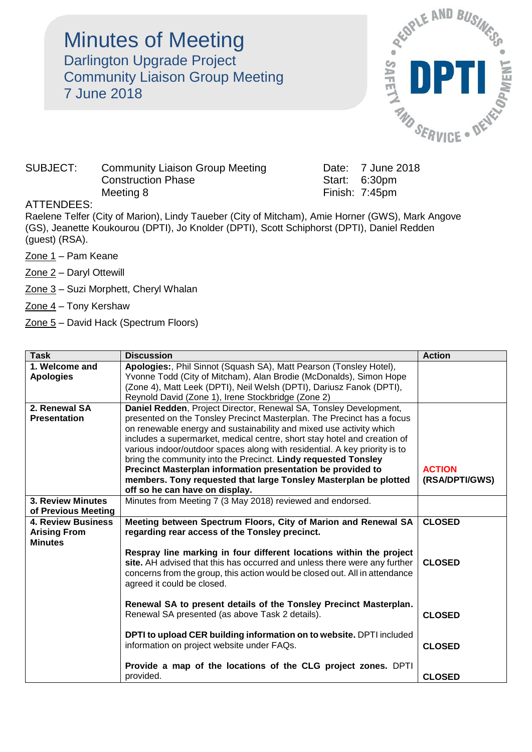## Minutes of Meeting Darlington Upgrade Project Community Liaison Group Meeting 7 June 2018



## SUBJECT: Community Liaison Group Meeting Date: 7 June 2018 Construction Phase Start: 6:30pm Meeting 8 Finish: 7:45pm

## ATTENDEES:

Raelene Telfer (City of Marion), Lindy Taueber (City of Mitcham), Amie Horner (GWS), Mark Angove (GS), Jeanette Koukourou (DPTI), Jo Knolder (DPTI), Scott Schiphorst (DPTI), Daniel Redden (guest) (RSA).

- Zone 1 Pam Keane
- Zone 2 Daryl Ottewill
- Zone 3 Suzi Morphett, Cheryl Whalan
- Zone 4 Tony Kershaw
- Zone 5 David Hack (Spectrum Floors)

| <b>Task</b>               | <b>Discussion</b>                                                                                                                               | <b>Action</b>  |
|---------------------------|-------------------------------------------------------------------------------------------------------------------------------------------------|----------------|
| 1. Welcome and            | Apologies:, Phil Sinnot (Squash SA), Matt Pearson (Tonsley Hotel),                                                                              |                |
| <b>Apologies</b>          | Yvonne Todd (City of Mitcham), Alan Brodie (McDonalds), Simon Hope<br>(Zone 4), Matt Leek (DPTI), Neil Welsh (DPTI), Dariusz Fanok (DPTI),      |                |
|                           | Reynold David (Zone 1), Irene Stockbridge (Zone 2)                                                                                              |                |
| 2. Renewal SA             | Daniel Redden, Project Director, Renewal SA, Tonsley Development,                                                                               |                |
| <b>Presentation</b>       | presented on the Tonsley Precinct Masterplan. The Precinct has a focus                                                                          |                |
|                           | on renewable energy and sustainability and mixed use activity which<br>includes a supermarket, medical centre, short stay hotel and creation of |                |
|                           | various indoor/outdoor spaces along with residential. A key priority is to                                                                      |                |
|                           | bring the community into the Precinct. Lindy requested Tonsley                                                                                  |                |
|                           | Precinct Masterplan information presentation be provided to                                                                                     | <b>ACTION</b>  |
|                           | members. Tony requested that large Tonsley Masterplan be plotted                                                                                | (RSA/DPTI/GWS) |
| <b>3. Review Minutes</b>  | off so he can have on display.<br>Minutes from Meeting 7 (3 May 2018) reviewed and endorsed.                                                    |                |
| of Previous Meeting       |                                                                                                                                                 |                |
| <b>4. Review Business</b> | Meeting between Spectrum Floors, City of Marion and Renewal SA                                                                                  | <b>CLOSED</b>  |
| <b>Arising From</b>       | regarding rear access of the Tonsley precinct.                                                                                                  |                |
| <b>Minutes</b>            | Respray line marking in four different locations within the project                                                                             |                |
|                           | site. AH advised that this has occurred and unless there were any further                                                                       | <b>CLOSED</b>  |
|                           | concerns from the group, this action would be closed out. All in attendance                                                                     |                |
|                           | agreed it could be closed.                                                                                                                      |                |
|                           | Renewal SA to present details of the Tonsley Precinct Masterplan.                                                                               |                |
|                           | Renewal SA presented (as above Task 2 details).                                                                                                 | <b>CLOSED</b>  |
|                           |                                                                                                                                                 |                |
|                           | DPTI to upload CER building information on to website. DPTI included                                                                            |                |
|                           | information on project website under FAQs.                                                                                                      | <b>CLOSED</b>  |
|                           | Provide a map of the locations of the CLG project zones. DPTI                                                                                   |                |
|                           | provided.                                                                                                                                       | <b>CLOSED</b>  |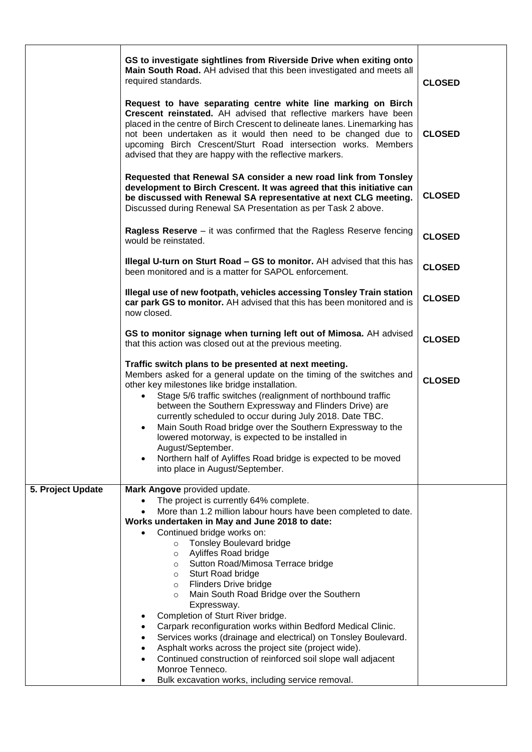|                   | GS to investigate sightlines from Riverside Drive when exiting onto<br>Main South Road. AH advised that this been investigated and meets all<br>required standards.                                                                                                                                                                                                                                                                                                                                                                                                                                                                                       | <b>CLOSED</b> |
|-------------------|-----------------------------------------------------------------------------------------------------------------------------------------------------------------------------------------------------------------------------------------------------------------------------------------------------------------------------------------------------------------------------------------------------------------------------------------------------------------------------------------------------------------------------------------------------------------------------------------------------------------------------------------------------------|---------------|
|                   | Request to have separating centre white line marking on Birch<br>Crescent reinstated. AH advised that reflective markers have been<br>placed in the centre of Birch Crescent to delineate lanes. Linemarking has<br>not been undertaken as it would then need to be changed due to<br>upcoming Birch Crescent/Sturt Road intersection works. Members<br>advised that they are happy with the reflective markers.                                                                                                                                                                                                                                          | <b>CLOSED</b> |
|                   | Requested that Renewal SA consider a new road link from Tonsley<br>development to Birch Crescent. It was agreed that this initiative can<br>be discussed with Renewal SA representative at next CLG meeting.<br>Discussed during Renewal SA Presentation as per Task 2 above.                                                                                                                                                                                                                                                                                                                                                                             | <b>CLOSED</b> |
|                   | Ragless Reserve - it was confirmed that the Ragless Reserve fencing<br>would be reinstated.                                                                                                                                                                                                                                                                                                                                                                                                                                                                                                                                                               | <b>CLOSED</b> |
|                   | Illegal U-turn on Sturt Road - GS to monitor. AH advised that this has<br>been monitored and is a matter for SAPOL enforcement.                                                                                                                                                                                                                                                                                                                                                                                                                                                                                                                           | <b>CLOSED</b> |
|                   | Illegal use of new footpath, vehicles accessing Tonsley Train station<br>car park GS to monitor. AH advised that this has been monitored and is<br>now closed.                                                                                                                                                                                                                                                                                                                                                                                                                                                                                            | <b>CLOSED</b> |
|                   | GS to monitor signage when turning left out of Mimosa. AH advised<br>that this action was closed out at the previous meeting.                                                                                                                                                                                                                                                                                                                                                                                                                                                                                                                             | <b>CLOSED</b> |
|                   | Traffic switch plans to be presented at next meeting.<br>Members asked for a general update on the timing of the switches and<br>other key milestones like bridge installation.<br>Stage 5/6 traffic switches (realignment of northbound traffic<br>$\bullet$<br>between the Southern Expressway and Flinders Drive) are<br>currently scheduled to occur during July 2018. Date TBC.<br>Main South Road bridge over the Southern Expressway to the<br>$\bullet$<br>lowered motorway, is expected to be installed in<br>August/September.<br>Northern half of Ayliffes Road bridge is expected to be moved<br>$\bullet$<br>into place in August/September. | <b>CLOSED</b> |
| 5. Project Update | Mark Angove provided update.                                                                                                                                                                                                                                                                                                                                                                                                                                                                                                                                                                                                                              |               |
|                   | The project is currently 64% complete.<br>$\bullet$<br>More than 1.2 million labour hours have been completed to date.<br>Works undertaken in May and June 2018 to date:                                                                                                                                                                                                                                                                                                                                                                                                                                                                                  |               |
|                   | Continued bridge works on:<br><b>Tonsley Boulevard bridge</b><br>$\circ$<br>Ayliffes Road bridge<br>$\circ$<br>Sutton Road/Mimosa Terrace bridge<br>$\circ$<br>Sturt Road bridge<br>$\circ$<br>Flinders Drive bridge<br>$\circ$<br>Main South Road Bridge over the Southern<br>$\circ$<br>Expressway.<br>Completion of Sturt River bridge.<br>Carpark reconfiguration works within Bedford Medical Clinic.<br>Services works (drainage and electrical) on Tonsley Boulevard.<br>Asphalt works across the project site (project wide).<br>Continued construction of reinforced soil slope wall adjacent<br>Monroe Tenneco.                                 |               |
|                   | Bulk excavation works, including service removal.                                                                                                                                                                                                                                                                                                                                                                                                                                                                                                                                                                                                         |               |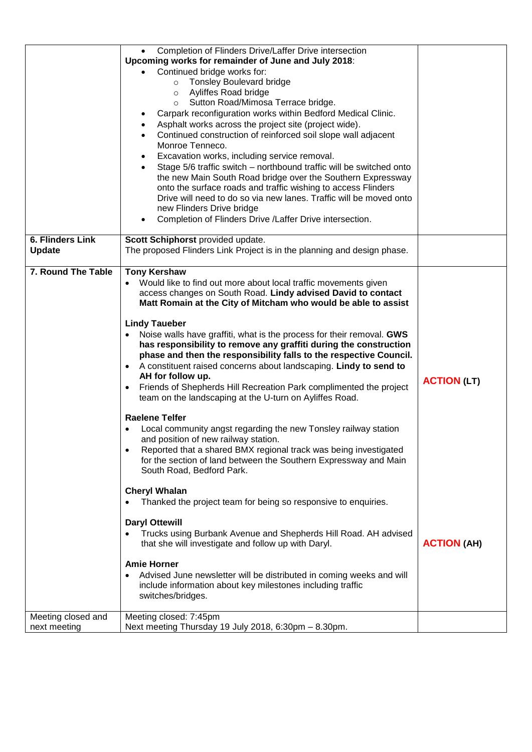|                                          | Completion of Flinders Drive/Laffer Drive intersection<br>Upcoming works for remainder of June and July 2018:<br>Continued bridge works for:<br><b>Tonsley Boulevard bridge</b><br>$\circ$<br>Ayliffes Road bridge<br>$\circ$<br>o Sutton Road/Mimosa Terrace bridge.<br>Carpark reconfiguration works within Bedford Medical Clinic.<br>$\bullet$<br>Asphalt works across the project site (project wide).<br>$\bullet$<br>Continued construction of reinforced soil slope wall adjacent<br>$\bullet$<br>Monroe Tenneco.<br>Excavation works, including service removal.<br>$\bullet$<br>Stage 5/6 traffic switch – northbound traffic will be switched onto<br>$\bullet$<br>the new Main South Road bridge over the Southern Expressway<br>onto the surface roads and traffic wishing to access Flinders<br>Drive will need to do so via new lanes. Traffic will be moved onto<br>new Flinders Drive bridge<br>Completion of Flinders Drive /Laffer Drive intersection.<br>$\bullet$                                  |                    |
|------------------------------------------|-------------------------------------------------------------------------------------------------------------------------------------------------------------------------------------------------------------------------------------------------------------------------------------------------------------------------------------------------------------------------------------------------------------------------------------------------------------------------------------------------------------------------------------------------------------------------------------------------------------------------------------------------------------------------------------------------------------------------------------------------------------------------------------------------------------------------------------------------------------------------------------------------------------------------------------------------------------------------------------------------------------------------|--------------------|
| <b>6. Flinders Link</b><br><b>Update</b> | Scott Schiphorst provided update.<br>The proposed Flinders Link Project is in the planning and design phase.                                                                                                                                                                                                                                                                                                                                                                                                                                                                                                                                                                                                                                                                                                                                                                                                                                                                                                            |                    |
| 7. Round The Table                       | <b>Tony Kershaw</b><br>Would like to find out more about local traffic movements given<br>access changes on South Road. Lindy advised David to contact<br>Matt Romain at the City of Mitcham who would be able to assist<br><b>Lindy Taueber</b><br>Noise walls have graffiti, what is the process for their removal. GWS<br>has responsibility to remove any graffiti during the construction<br>phase and then the responsibility falls to the respective Council.<br>• A constituent raised concerns about landscaping. Lindy to send to<br>AH for follow up.<br>Friends of Shepherds Hill Recreation Park complimented the project<br>$\bullet$<br>team on the landscaping at the U-turn on Ayliffes Road.<br><b>Raelene Telfer</b><br>Local community angst regarding the new Tonsley railway station<br>and position of new railway station.<br>Reported that a shared BMX regional track was being investigated<br>for the section of land between the Southern Expressway and Main<br>South Road, Bedford Park. | <b>ACTION (LT)</b> |
|                                          | <b>Cheryl Whalan</b><br>Thanked the project team for being so responsive to enquiries.<br><b>Daryl Ottewill</b><br>Trucks using Burbank Avenue and Shepherds Hill Road. AH advised<br>that she will investigate and follow up with Daryl.<br><b>Amie Horner</b><br>Advised June newsletter will be distributed in coming weeks and will<br>$\bullet$<br>include information about key milestones including traffic<br>switches/bridges.                                                                                                                                                                                                                                                                                                                                                                                                                                                                                                                                                                                 | <b>ACTION (AH)</b> |
| Meeting closed and<br>next meeting       | Meeting closed: 7:45pm<br>Next meeting Thursday 19 July 2018, 6:30pm - 8.30pm.                                                                                                                                                                                                                                                                                                                                                                                                                                                                                                                                                                                                                                                                                                                                                                                                                                                                                                                                          |                    |
|                                          |                                                                                                                                                                                                                                                                                                                                                                                                                                                                                                                                                                                                                                                                                                                                                                                                                                                                                                                                                                                                                         |                    |